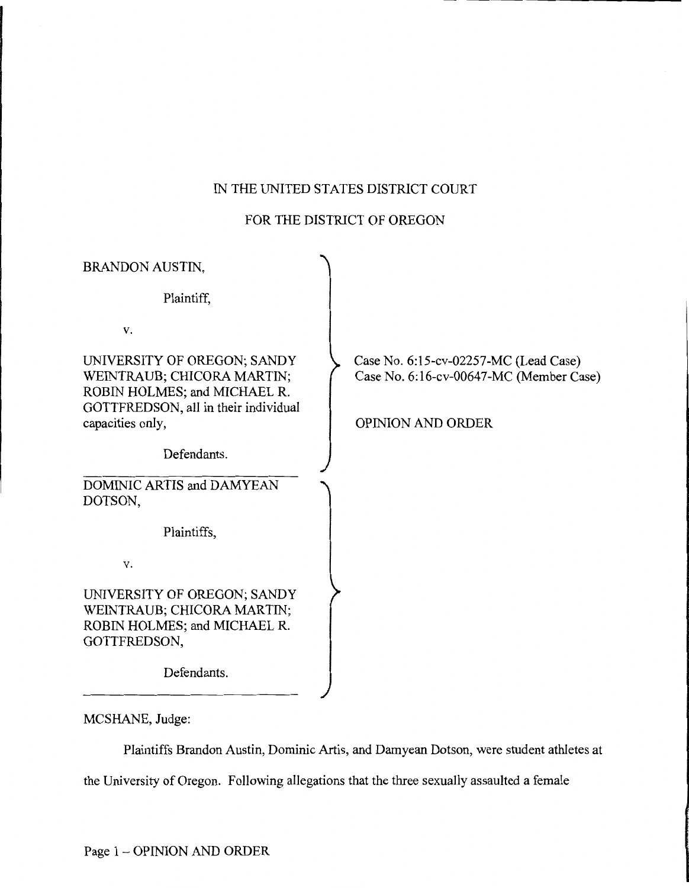# IN THE UNITED STATES DISTRICT COURT

# FOR THE DISTRICT OF OREGON

| <b>BRANDON AUSTIN,</b>                                                                                                            |                                                                                  |
|-----------------------------------------------------------------------------------------------------------------------------------|----------------------------------------------------------------------------------|
| Plaintiff,                                                                                                                        |                                                                                  |
| V.                                                                                                                                |                                                                                  |
| UNIVERSITY OF OREGON; SANDY<br>WEINTRAUB; CHICORA MARTIN;<br>ROBIN HOLMES; and MICHAEL R.<br>GOTTFREDSON, all in their individual | Case No. 6:15-cv-02257-MC (Lead Case)<br>Case No. 6:16-cv-00647-MC (Member Case) |
| capacities only,                                                                                                                  | <b>OPINION AND ORDER</b>                                                         |
| Defendants.                                                                                                                       |                                                                                  |
| DOMINIC ARTIS and DAMYEAN<br>DOTSON,                                                                                              |                                                                                  |
| Plaintiffs,                                                                                                                       |                                                                                  |
| V.                                                                                                                                |                                                                                  |
| UNIVERSITY OF OREGON; SANDY<br>WEINTRAUB; CHICORA MARTIN;<br>ROBIN HOLMES; and MICHAEL R.<br>GOTTFREDSON,                         |                                                                                  |
| Defendants.                                                                                                                       |                                                                                  |

MCSHANE, Judge:

Plaintiffs Brandon Austin, Dominic Artis, and Damyean Dotson, were student athletes at

the University of Oregon. Following allegations that the three sexually assaulted a female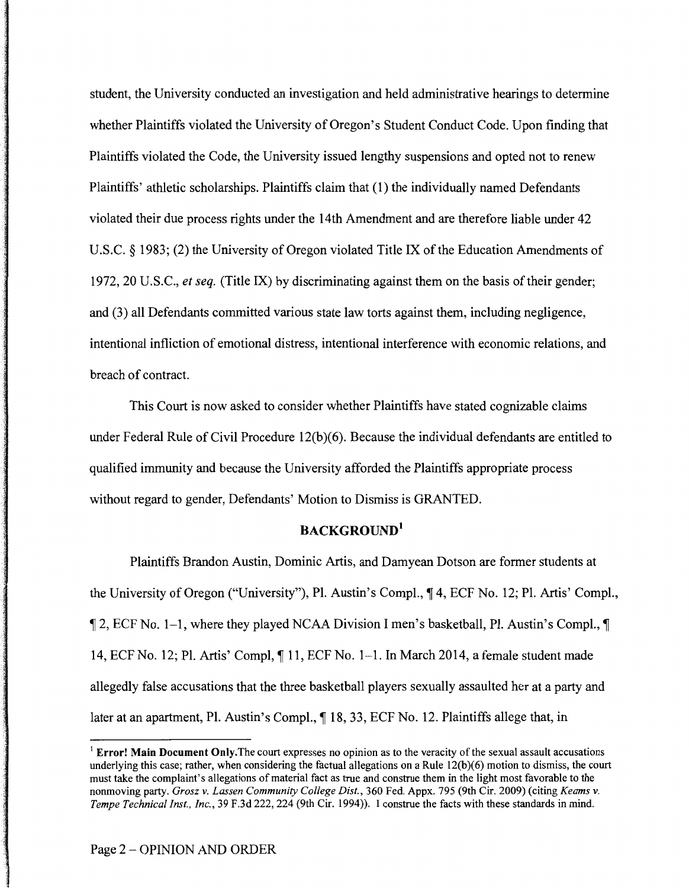student, the University conducted an investigation and held administrative hearings to determine whether Plaintiffs violated the University of Oregon's Student Conduct Code. Upon finding that Plaintiffs violated the Code, the University issued lengthy suspensions and opted not to renew Plaintiffs' athletic scholarships. Plaintiffs claim that (1) the individually named Defendants violated their due process rights under the 14th Amendment and are therefore liable under 42 U.S.C. § 1983; (2) the University of Oregon violated Title IX of the Education Amendments of 1972, 20 U.S.C., *et seq.* (Title IX) by discriminating against them on the basis of their gender; and (3) all Defendants committed various state law torts against them, including negligence, intentional infliction of emotional distress, intentional interference with economic relations, and breach of contract.

This Court is now asked to consider whether Plaintiffs have stated cognizable claims under Federal Rule of Civil Procedure 12(b)(6). Because the individual defendants are entitled to qualified immunity and because the University afforded the Plaintiffs appropriate process without regard to gender, Defendants' Motion to Dismiss is GRANTED.

# BACKGROUND<sup>1</sup>

Plaintiffs Brandon Austin, Dominic Artis, and Damyean Dotson are former students at the University of Oregon ("University"), Pl. Austin's Compl.,  $\P$  4, ECF No. 12; Pl. Artis' Compl.,  $\parallel$  2, ECF No. 1-1, where they played NCAA Division I men's basketball, Pl. Austin's Compl.,  $\parallel$ 14, ECF No. 12; Pl. Artis' Compl,  $\P$  11, ECF No. 1-1. In March 2014, a female student made allegedly false accusations that the three basketball players sexually assaulted her at a party and later at an apartment, Pl. Austin's Compl.,  $\P$  18, 33, ECF No. 12. Plaintiffs allege that, in

 $<sup>1</sup>$  Error! Main Document Only. The court expresses no opinion as to the veracity of the sexual assault accusations</sup> underlying this case; rather, when considering the factual allegations on a Rule  $12(b)(6)$  motion to dismiss, the court must take the complaint's allegations of material fact as true and construe them in the light most favorable to the nonmoving party. *Grosz v. Lassen Community College Dist.,* 360 Fed. Appx. 795 (9th Cir. 2009) (citing *Keams v. Tempe Technical Inst., Inc.,* 39 F.3d 222, 224 (9th Cir. 1994)). I construe the facts with these standards in mind.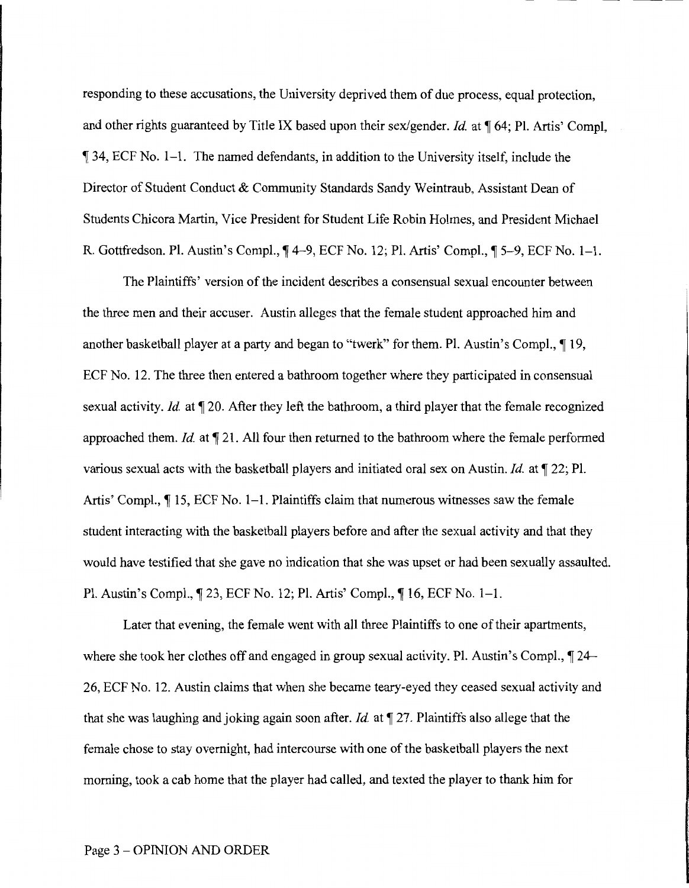responding to these accusations, the University deprived them of due process, equal protection, and other rights guaranteed by Title IX based upon their sex/gender. *Id.* at  $\P$  64; Pl. Artis' Compl,  $\parallel$  34, ECF No. 1-1. The named defendants, in addition to the University itself, include the Director of Student Conduct & Community Standards Sandy Weintraub, Assistant Dean of Students Chicora Martin, Vice President for Student Life Robin Holmes, and President Michael R. Gottfredson. Pl. Austin's Compl.,  $\P$ 4–9, ECF No. 12; Pl. Artis' Compl.,  $\P$ 5–9, ECF No. 1–1.

The Plaintiffs' version of the incident describes a consensual sexual encounter between the three men and their accuser. Austin alleges that the female student approached him and another basketball player at a party and began to "twerk" for them. Pl. Austin's Compl.,  $\P$  19, ECF No. 12. The three then entered a bathroom together where they participated in consensual sexual activity. *Id.* at  $\mathbb{T}$  20. After they left the bathroom, a third player that the female recognized approached them. *Id.* at  $\P$  21. All four then returned to the bathroom where the female performed various sexual acts with the basketball players and initiated oral sex on Austin. *Id.* at  $\mathbb{I}$  22; Pl. Artis' Compl.,  $\P$  15, ECF No. 1–1. Plaintiffs claim that numerous witnesses saw the female student interacting with the basketball players before and after the sexual activity and that they would have testified that she gave no indication that she was upset or had been sexually assaulted. Pl. Austin's Compl.,  $\P$  23, ECF No. 12; Pl. Artis' Compl.,  $\P$  16, ECF No. 1–1.

Later that evening, the female went with all three Plaintiffs to one of their apartments, where she took her clothes off and engaged in group sexual activity. Pl. Austin's Compl.,  $\P$  24-26, ECF No. 12. Austin claims that when she became teary-eyed they ceased sexual activity and that she was laughing and joking again soon after. *Id.* at  $\mathbb{I}$  27. Plaintiffs also allege that the female chose to stay overnight, had intercourse with one of the basketball players the next morning, took a cab home that the player had called, and texted the player to thank him for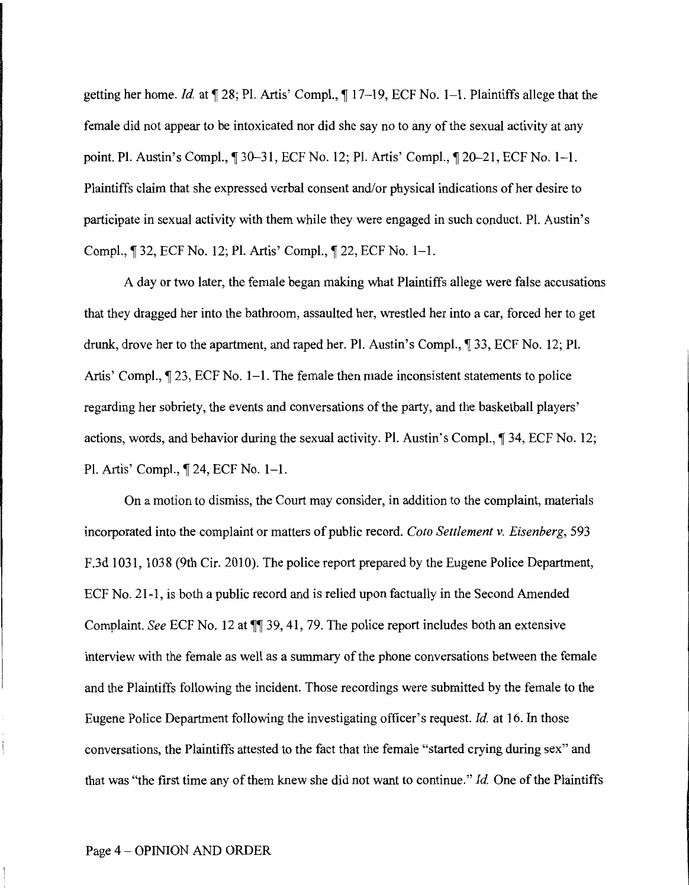getting her home. *Id.* at  $\sqrt{28}$ ; Pl. Artis' Compl.,  $\sqrt{217}$ , ECF No. 1–1. Plaintiffs allege that the female did not appear to be intoxicated nor did she say no to any of the sexual activity at any point. Pl. Austin's Compl.,  $\parallel$  30-31, ECF No. 12; Pl. Artis' Compl.,  $\parallel$  20-21, ECF No. 1-1. Plaintiffs claim that she expressed verbal consent and/or physical indications of her desire to participate in sexual activity with them while they were engaged in such conduct. PL Austin's Compl.,  $\lceil 32, \text{ECF No. 12}; \text{Pl. Artis'} \text{Compl.}, \lceil 22, \text{ECF No. 1-1}.$ 

A day or two later, the female began making what Plaintiffs allege were false accusations that they dragged her into the bathroom, assaulted her, wrestled her into a car, forced her to get drunk, drove her to the apartment, and raped her. Pl. Austin's Compl., 1 33, ECF No. 12; Pl. Artis' Compl.,  $\lceil 23, \text{ECF No. 1–1.} \rceil$  and Elements to police then made inconsistent statements to police regarding her sobriety, the events and conversations of the party, and the basketball players' actions, words, and behavior during the sexual activity. Pl. Austin's Compl., 134, ECF No. 12; Pl. Artis' Compl., 124, ECF No. 1-1.

On a motion to dismiss, the Court may consider, in addition to the complaint, materials incorporated into the complaint or matters of public record. *Coto Settlement v. Eisenberg,* 593 F.3d 1031, 1038 (9th Cir. 2010). The police report prepared by the Eugene Police Department, ECF No. 21-1, is both a public record and is relied upon factually in the Second Amended Complaint. *See* ECF No. 12 at  $\P$  39, 41, 79. The police report includes both an extensive interview with the female as well as a summary of the phone conversations between the female and the Plaintiffs following the incident. Those recordings were submitted by the female to the Eugene Police Department following the investigating officer's request. *Id* at 16. In those conversations, the Plaintiffs attested to the fact that the female "started crying during sex" and that was "the first time any of them knew she did not want to continue." *Id*. One of the Plaintiffs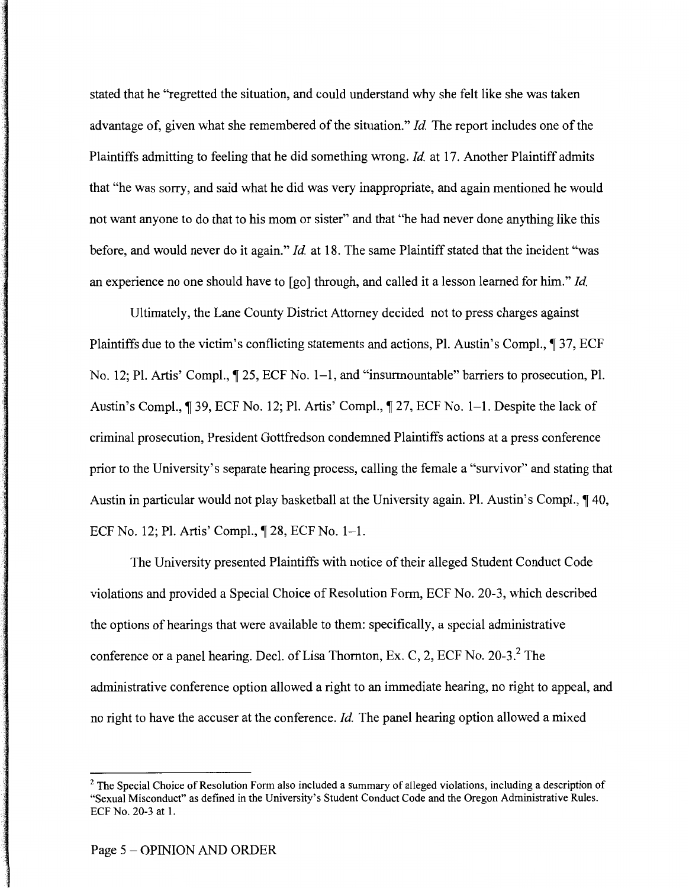stated that he "regretted the situation, and could understand why she felt like she was taken advantage of, given what she remembered of the situation." *Id*. The report includes one of the Plaintiffs admitting to feeling that he did something wrong. *Id* at 17. Another Plaintiff admits that "he was sorry, and said what he did was very inappropriate, and again mentioned he would not want anyone to do that to his mom or sister" and that "he had never done anything like this before, and would never do it again." *Id* at 18. The same Plaintiff stated that the incident "was an experience no one should have to [go] through, and called it a lesson learned for him." *Id* 

Ultimately, the Lane County District Attorney decided not to press charges against Plaintiffs due to the victim's conflicting statements and actions, Pl. Austin's Compl.,  $\parallel$  37, ECF No. 12; Pl. Artis' Compl.,  $\lceil$  25, ECF No. 1–1, and "insurmountable" barriers to prosecution, Pl. Austin's Compl., 1 39, ECF No. 12; Pl. Artis' Compl., 1 27, ECF No. 1–1. Despite the lack of criminal prosecution, President Gottfredson condemned Plaintiffs actions at a press conference prior to the University's separate hearing process, calling the female a "survivor" and stating that Austin in particular would not play basketball at the University again. Pl. Austin's Compl.,  $\P$  40, ECF No. 12; Pl. Artis' Compl.,  $\P$  28, ECF No. 1-1.

The University presented Plaintiffs with notice of their alleged Student Conduct Code violations and provided a Special Choice of Resolution Form, ECF No. 20-3, which described the options of hearings that were available to them: specifically, a special administrative conference or a panel hearing. Decl. of Lisa Thornton, Ex. C, 2, ECF No.  $20-3<sup>2</sup>$  The administrative conference option allowed a right to an immediate hearing, no right to appeal, and no right to have the accuser at the conference. *Id*. The panel hearing option allowed a mixed

<sup>&</sup>lt;sup>2</sup> The Special Choice of Resolution Form also included a summary of alleged violations, including a description of "Sexual Misconduct" as defined in the University's Student Conduct Code and the Oregon Administrative Rules. ECF No. 20-3 at 1.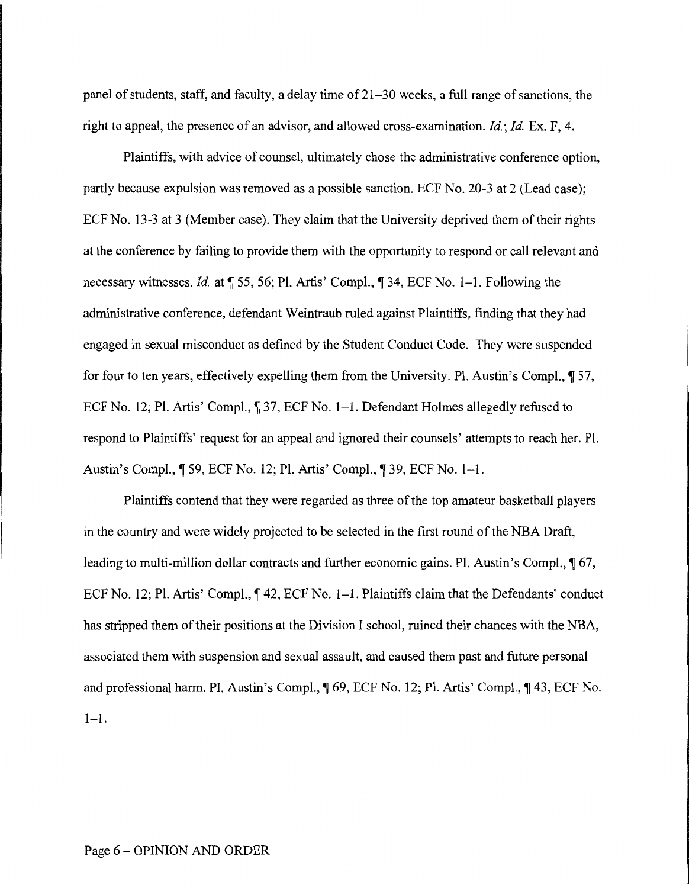panel of students, staff, and faculty, a delay time of 21-30 weeks, a full range of sanctions, the right to appeal, the presence of an advisor, and allowed cross-examination. *Id.; Id.* Ex. F, 4.

Plaintiffs, with advice of counsel, ultimately chose the administrative conference option, partly because expulsion was removed as a possible sanction. ECF No. 20-3 at 2 (Lead case); ECF No. 13-3 at 3 (Member case). They claim that the University deprived them of their rights at the conference by failing to provide them with the opportunity to respond or call relevant and necessary witnesses. *Id.* at  $\sqrt{ }$  55, 56; Pl. Artis' Compl.,  $\sqrt{ }$  34, ECF No. 1–1. Following the administrative conference, defendant Weintraub ruled against Plaintiffs, finding that they had engaged in sexual misconduct as defined by the Student Conduct Code. They were suspended for four to ten years, effectively expelling them from the University. Pl. Austin's Compl.,  $\sqrt{ }$  57, ECF No. 12; Pl. Artis' Compl.,  $\parallel$  37, ECF No. 1–1. Defendant Holmes allegedly refused to respond to Plaintiffs' request for an appeal and ignored their counsels' attempts to reach her. PL Austin's Compl., ¶ 59, ECF No. 12; Pl. Artis' Compl., ¶ 39, ECF No. 1–1.

Plaintiffs contend that they were regarded as three of the top amateur basketball players in the country and were widely projected to be selected in the first round of the NBA Draft, leading to multi-million dollar contracts and further economic gains. Pl. Austin's Compl.,  $\sqrt{\ }$  67, ECF No. 12; Pl. Artis' Compl., ¶42, ECF No. 1–1. Plaintiffs claim that the Defendants' conduct has stripped them of their positions at the Division I school, ruined their chances with the NBA, associated them with suspension and sexual assault, and caused them past and future personal and professional harm. Pl. Austin's Compl.,  $\parallel$  69, ECF No. 12; Pl. Artis' Compl.,  $\parallel$  43, ECF No.  $1 - 1$ .

#### Page 6 - OPINION AND ORDER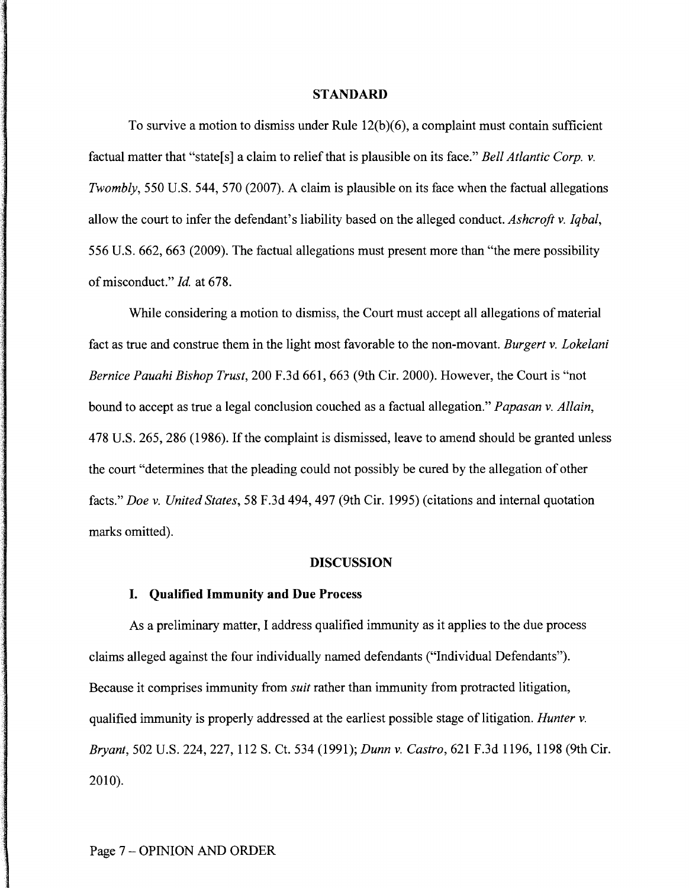#### **STANDARD**

To survive a motion to dismiss under Rule 12(b)(6), a complaint must contain sufficient factual matter that "state[s] a claim to relief that is plausible on its face." *Bell Atlantic Corp. v. Twombly*, 550 U.S. 544, 570 (2007). A claim is plausible on its face when the factual allegations allow the court to infer the defendant's liability based on the alleged conduct. *Ashcroft v. Iqbal,*  556 U.S. 662, 663 (2009). The factual allegations must present more than "the mere possibility of misconduct." *Id.* at 678.

While considering a motion to dismiss, the Court must accept all allegations of material fact as true and construe them in the light most favorable to the non-movant. *Burgert v. Lokelani Bernice Pauahi Bishop Trust,* 200 F.3d 661, 663 (9th Cir. 2000). However, the Court is "not bound to accept as true a legal conclusion couched as a factual allegation." *Papasan v. Allain,*  478 U.S. 265, 286 (1986). If the complaint is dismissed, leave to amend should be granted unless the court "determines that the pleading could not possibly be cured by the allegation of other facts." *Doe v. United States,* 58 F.3d 494, 497 (9th Cir. 1995) (citations and internal quotation marks omitted).

## **DISCUSSION**

#### **I. Qualified Immunity and Due Process**

As a preliminary matter, I address qualified immunity as it applies to the due process claims alleged against the four individually named defendants ("Individual Defendants"). Because it comprises immunity from *suit* rather than immunity from protracted litigation, qualified immunity is properly addressed at the earliest possible stage of litigation. *Hunter v. Bryant,* 502 U.S. 224, 227, 112 S. Ct. 534 (1991); *Dunn v. Castro,* 621F.3d1196, 1198 (9th Cir. 2010).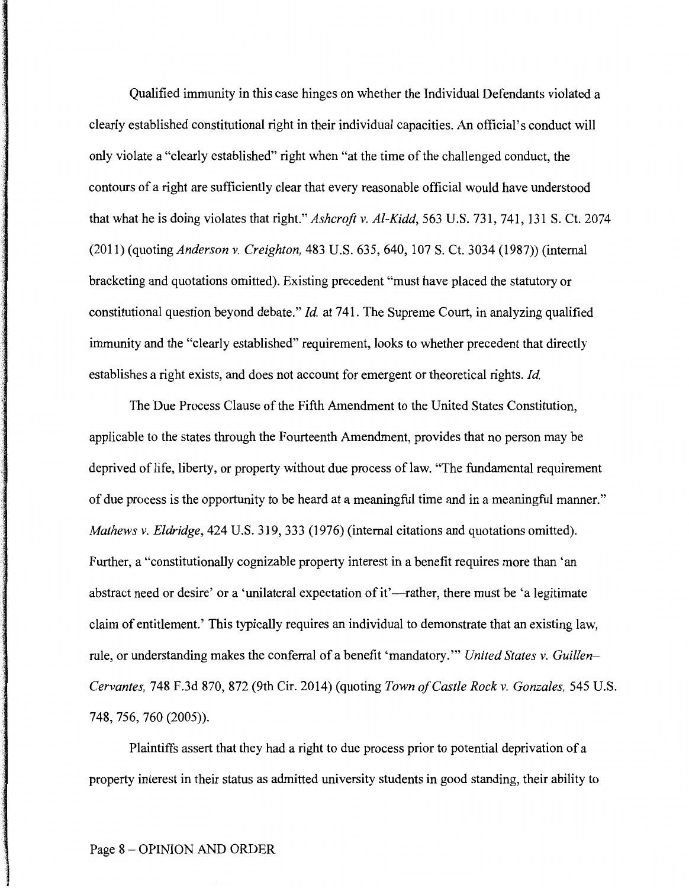Qualified immunity in this case hinges on whether the Individual Defendants violated a clearly established constitutional right in their individual capacities. An official's conduct will only violate a "clearly established" right when "at the time of the challenged conduct, the contours of a right are sufficiently clear that every reasonable official would have understood that what he is doing violates that right." *Ashcroft v. Al-Kidd,* 563 U.S. 731, 741, 131 S. Ct. 2074 (2011) (quoting *Anderson v. Creighton,* 483 U.S. 635, 640, 107 S. Ct. 3034 (1987)) (internal bracketing and quotations omitted). Existing precedent "must have placed the statutory or constitutional question beyond debate." *Id.* at 741. The Supreme Court, in analyzing qualified immunity and the "clearly established" requirement, looks to whether precedent that directly establishes a right exists, and does not account for emergent or theoretical rights. *Id.* 

The Due Process Clause of the Fifth Amendment to the United States Constitution, applicable to the states through the Fourteenth Amendment, provides that no person may be deprived of life, liberty, or property without due process of law. "The fundamental requirement of due process is the opportunity to be heard at a meaningful time and in a meaningful manner." *Mathews v. Eldridge,* 424 U.S. 319, 333 (1976) (internal citations and quotations omitted). Further, a "constitutionally cognizable property interest in a benefit requires more than 'an abstract need or desire' or a 'unilateral expectation of it'—rather, there must be 'a legitimate claim of entitlement.' This typically requires an individual to demonstrate that an existing law, rule, or understanding makes the conferral of a benefit 'mandatory.'" *United States v. Guillen-Cervantes,* 748 F.3d 870, 872 (9th Cir. 2014) (quoting *Town of Castle Rock v. Gonzales,* 545 U.S. 748, 756, 760 (2005)).

Plaintiffs assert that they had a right to due process prior to potential deprivation of a property interest in their status as admitted university students in good standing, their ability to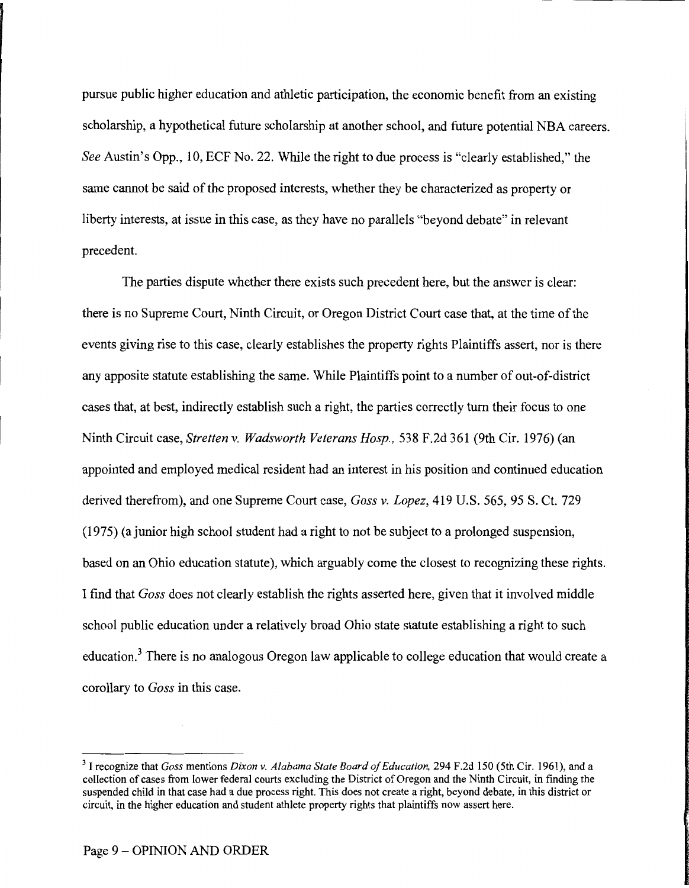pursue public higher education and athletic participation, the economic benefit from an existing scholarship, a hypothetical future scholarship at another school, and future potential NBA careers. *See* Austin's Opp., 10, ECF No. 22. While the right to due process is "clearly established," the same cannot be said of the proposed interests, whether they be characterized as property or liberty interests, at issue in this case, as they have no parallels "beyond debate" in relevant precedent.

The parties dispute whether there exists such precedent here, but the answer is clear: there is no Supreme Court, Ninth Circuit, or Oregon District Court case that, at the time of the events giving rise to this case, clearly establishes the property rights Plaintiffs assert, nor is there any apposite statute establishing the same. While Plaintiffs point to a number of out-of-district cases that, at best, indirectly establish such a right, the parties correctly turn their focus to one Ninth Circuit case, *Stretten v. Wadsworth Veterans Hosp.,* 538 F.2d 361 (9th Cir. 1976) (an appointed and employed medical resident had an interest in his position and continued education derived therefrom), and one Supreme Court case, *Goss v. Lopez,* 419 U.S. 565, 95 S. Ct. 729 (1975) (a junior high school student had a right to not be subject to a prolonged suspension, based on an Ohio education statute), which arguably come the closest to recognizing these rights. I find that *Goss* does not clearly establish the rights asserted here, given that it involved middle school public education under a relatively broad Ohio state statute establishing a right to such education.<sup>3</sup> There is no analogous Oregon law applicable to college education that would create a corollary to *Goss* in this case.

<sup>3</sup> I recognize that *Goss* mentions *Dixon v. Alabama State Board of Education,* 294 F.2d 150 (5th Cir. 1961), and a collection of cases from lower federal courts excluding the District of Oregon and the Ninth Circuit, in finding the suspended child in that case had a due process right. This does not create a right, beyond debate, in this district or circuit, in the higher education and student athlete property rights that plaintiffs now assert here.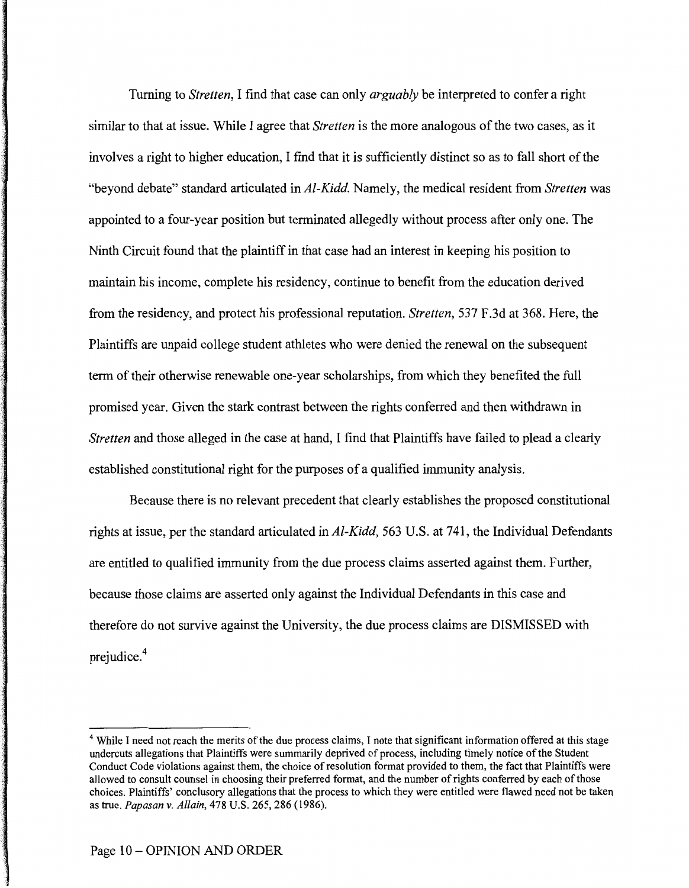Turning to *Stretten,* I find that case can only *arguably* be interpreted to confer a right similar to that at issue. While I agree that *Stretten* is the more analogous of the two cases, as it involves a right to higher education, I find that it is sufficiently distinct so as to fall short of the "beyond debate" standard articulated in *Al-Kidd.* Namely, the medical resident from *Stretten* was appointed to a four-year position but terminated allegedly without process after only one. The Ninth Circuit found that the plaintiff in that case had an interest in keeping his position to maintain his income, complete his residency, continue to benefit from the education derived from the residency, and protect his professional reputation. *Stretten,* 537 F.3d at 368. Here, the Plaintiffs are unpaid college student athletes who were denied the renewal on the subsequent term of their otherwise renewable one-year scholarships, from which they benefited the full promised year. Given the stark contrast between the rights conferred and then withdrawn in *Stretten* and those alleged in the case at hand, I find that Plaintiffs have failed to plead a clearly established constitutional right for the purposes of a qualified immunity analysis.

Because there is no relevant precedent that clearly establishes the proposed constitutional rights at issue, per the standard articulated in *Al-Kidd,* 563 U.S. at 741, the Individual Defendants are entitled to qualified immunity from the due process claims asserted against them. Further, because those claims are asserted only against the Individual Defendants in this case and therefore do not survive against the University, the due process claims are DISMISSED with prejudice.<sup>4</sup>

<sup>&</sup>lt;sup>4</sup> While I need not reach the merits of the due process claims, I note that significant information offered at this stage undercuts allegations that Plaintiffs were summarily deprived of process, including timely notice of the Student Conduct Code violations against them, the choice ofresolution format provided to them, the fact that Plaintiffs were allowed to consult counsel in choosing their preferred format, and the number of rights conferred by each of those choices. Plaintiffs' conclusory allegations that the process to which they were entitled were flawed need not be taken as true. *Papasan v. Allain,* 478 U.S. 265, 286 (1986).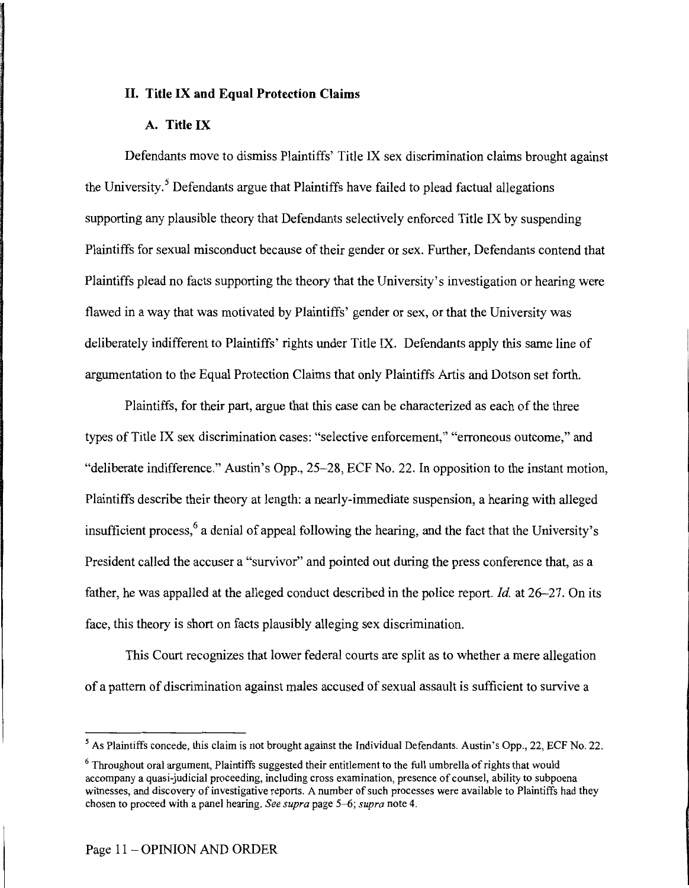# **II. Title IX and Equal Protection Claims**

# **A. Title IX**

Defendants move to dismiss Plaintiffs' Title IX sex discrimination claims brought against the University. *5* Defendants argue that Plaintiffs have failed to plead factual allegations supporting any plausible theory that Defendants selectively enforced Title IX by suspending Plaintiffs for sexual misconduct because of their gender or sex. Further, Defendants contend that Plaintiffs plead no facts supporting the theory that the University's investigation or hearing were flawed in a way that was motivated by Plaintiffs' gender or sex, or that the University was deliberately indifferent to Plaintiffs' rights under Title IX. Defendants apply this same line of argumentation to the Equal Protection Claims that only Plaintiffs Artis and Dotson set forth.

Plaintiffs, for their part, argue that this case can be characterized as each of the three types of Title IX sex discrimination cases: "selective enforcement," "erroneous outcome," and "deliberate indifference." Austin's Opp., 25-28, ECF No. 22. In opposition to the instant motion, Plaintiffs describe their theory at length: a nearly-immediate suspension, a hearing with alleged insufficient process, 6 a denial of appeal following the hearing, and the fact that the University's President called the accuser a "survivor" and pointed out during the press conference that, as a father, he was appalled at the alleged conduct described in the police report. *Id.* at 26-27. On its face, this theory is short on facts plausibly alleging sex discrimination.

This Court recognizes that lower federal courts are split as to whether a mere allegation of a pattern of discrimination against males accused of sexual assault is sufficient to survive a

<sup>&</sup>lt;sup>5</sup> As Plaintiffs concede, this claim is not brought against the Individual Defendants. Austin's Opp., 22, ECF No. 22.

<sup>&</sup>lt;sup>6</sup> Throughout oral argument, Plaintiffs suggested their entitlement to the full umbrella of rights that would accompany a quasi-judicial proceeding, including cross examination, presence of counsel, ability to subpoena witnesses, and discovery of investigative reports. A number of such processes were available to Plaintiffs had they chosen to proceed with a panel hearing. *See supra* page 5–6; *supra* note 4.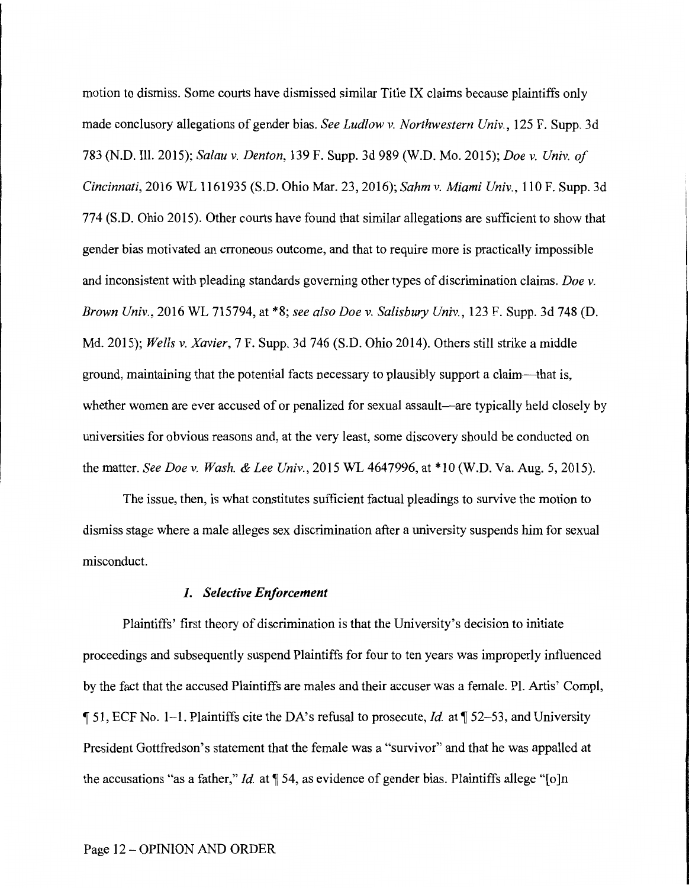motion to dismiss. Some courts have dismissed similar Title IX claims because plaintiffs only made conclusory allegations of gender bias. *See Ludlow v. Northwestern Univ.,* 125 F. Supp. 3d 783 (N.D. Ill. 2015); *Sa/au v. Denton,* 139 F. Supp. 3d 989 (W.D. Mo. 2015); *Doe v. Univ. of Cincinnati,* 2016 WL 1161935 (S.D. Ohio Mar. 23, 2016); *Sahm v. Miami Univ.,* 110 F. Supp. 3d 774 (S.D. Ohio 2015). Other courts have found that similar allegations are sufficient to show that gender bias motivated an erroneous outcome, and that to require more is practically impossible and inconsistent with pleading standards governing other types of discrimination claims. *Doe v. Brown Univ.,* 2016 WL 715794, at \*8; *see also Doe v. Salisbury Univ.,* 123 F. Supp. 3d 748 (D. Md. 2015); *Wells v. Xavier,* 7 F. Supp. 3d 746 (S.D. Ohio 2014). Others still strike a middle ground, maintaining that the potential facts necessary to plausibly support a claim-that is, whether women are ever accused of or penalized for sexual assault—are typically held closely by universities for obvious reasons and, at the very least, some discovery should be conducted on the matter. *See Doe v. Wash.* & *Lee Univ.,* 2015 WL 4647996, at \*10 (W.D. Va. Aug. 5, 2015).

The issue, then, is what constitutes sufficient factual pleadings to survive the motion to dismiss stage where a male alleges sex discrimination after a university suspends him for sexual misconduct.

#### *1. Selective Enforcement*

Plaintiffs' first theory of discrimination is that the University's decision to initiate proceedings and subsequently suspend Plaintiffs for four to ten years was improperly influenced by the fact that the accused Plaintiffs are males and their accuser was a female. Pl. Artis' Compl, if 51, ECF No. 1-1. Plaintiffs cite the DA's refusal to prosecute, *Id* at if 52-53, and University President Gottfredson's statement that the female was a "survivor" and that he was appalled at the accusations "as a father," *Id.* at  $\P$  54, as evidence of gender bias. Plaintiffs allege " $[0]$ n

### Page 12 - OPINION AND ORDER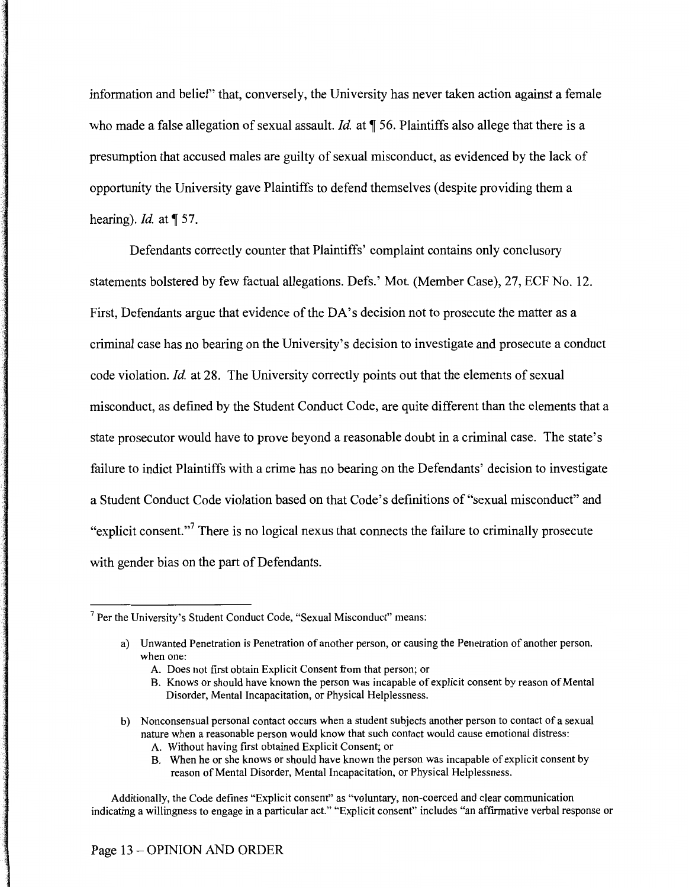information and belief' that, conversely, the University has never taken action against a female who made a false allegation of sexual assault. *Id.* at  $\mathcal T$  56. Plaintiffs also allege that there is a presumption that accused males are guilty of sexual misconduct, as evidenced by the lack of opportunity the University gave Plaintiffs to defend themselves (despite providing them a hearing). *Id.* at  $\P$  57.

Defendants correctly counter that Plaintiffs' complaint contains only conclusory statements bolstered by few factual allegations. Defs.' Mot. (Member Case), 27, ECF No. 12. First, Defendants argue that evidence of the DA's decision not to prosecute the matter as a criminal case has no bearing on the University's decision to investigate and prosecute a conduct code violation. *Id* at 28. The University correctly points out that the elements of sexual misconduct, as defined by the Student Conduct Code, are quite different than the elements that a state prosecutor would have to prove beyond a reasonable doubt in a criminal case. The state's failure to indict Plaintiffs with a crime has no bearing on the Defendants' decision to investigate a Student Conduct Code violation based on that Code's definitions of "sexual misconduct" and "explicit consent."<sup>7</sup> There is no logical nexus that connects the failure to criminally prosecute with gender bias on the part of Defendants.

- b) Nonconsensual personal contact occurs when a student subjects another person to contact of a sexual nature when a reasonable person would know that such contact would cause emotional distress:
	- A. Without having first obtained Explicit Consent; or
	- B. When he or she knows or should have known the person was incapable of explicit consent by reason of Mental Disorder, Mental Incapacitation, or Physical Helplessness.

Additionally, the Code defines "Explicit consent" as "voluntary, non-coerced and clear communication indicating a willingness to engage in a particular act." "Explicit consent" includes "an affirmative verbal response or

<sup>7</sup> Per the University's Student Conduct Code, "Sexual Misconduct" means:

a) Unwanted Penetration is Penetration of another person, or causing the Penetration of another person, when one:

A. Does not first obtain Explicit Consent from that person; or

B. Knows or should have known the person was incapable of explicit consent by reason of Mental Disorder, Mental Incapacitation, or Physical Helplessness.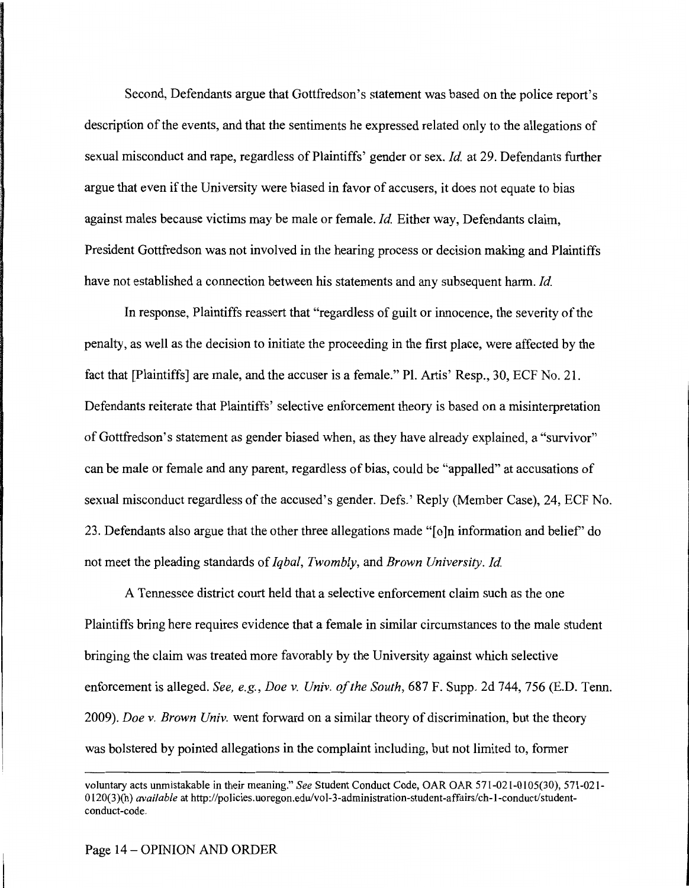Second, Defendants argue that Gottfredson's statement was based on the police report's description of the events, and that the sentiments he expressed related only to the allegations of sexual misconduct and rape, regardless of Plaintiffs' gender or sex. *Id* at 29. Defendants further argue that even if the University were biased in favor of accusers, it does not equate to bias against males because victims may be male or female. *Id* Either way, Defendants claim, President Gottfredson was not involved in the hearing process or decision making and Plaintiffs have not established a connection between his statements and any subsequent harm. *Id* 

In response, Plaintiffs reassert that "regardless of guilt or innocence, the severity of the penalty, as well as the decision to initiate the proceeding in the first place, were affected by the fact that [Plaintiffs] are male, and the accuser is a female." Pl. Artis' Resp., 30, ECF No. 21. Defendants reiterate that Plaintiffs' selective enforcement theory is based on a misinterpretation of Gottfredson's statement as gender biased when, as they have already explained, a "survivor" can be male or female and any parent, regardless of bias, could be "appalled" at accusations of sexual misconduct regardless of the accused's gender. Defs.' Reply (Member Case), 24, ECF No. 23. Defendants also argue that the other three allegations made "[o]n information and belief' do not meet the pleading standards of *Iqbal, Twombly,* and *Brown University. Id* 

A Tennessee district court held that a selective enforcement claim such as the one Plaintiffs bring here requires evidence that a female in similar circumstances to the male student bringing the claim was treated more favorably by the University against which selective enforcement is alleged. *See, e.g., Doe v. Univ. of the South,* 687 F. Supp. 2d 744, 756 (E.D. Tenn. 2009). *Doe v. Brown Univ.* went forward on a similar theory of discrimination, but the theory was bolstered by pointed allegations in the complaint including, but not limited to, former

voluntary acts unmistakable in their meaning." *See* Student Conduct Code, OAR OAR 571-021-0105(30), 571-021- 0120(3)(h) *available* at http://policies.uoregon.edu/vol-3-administration-student-affairs/ch-l-conduct/studentconduct-code.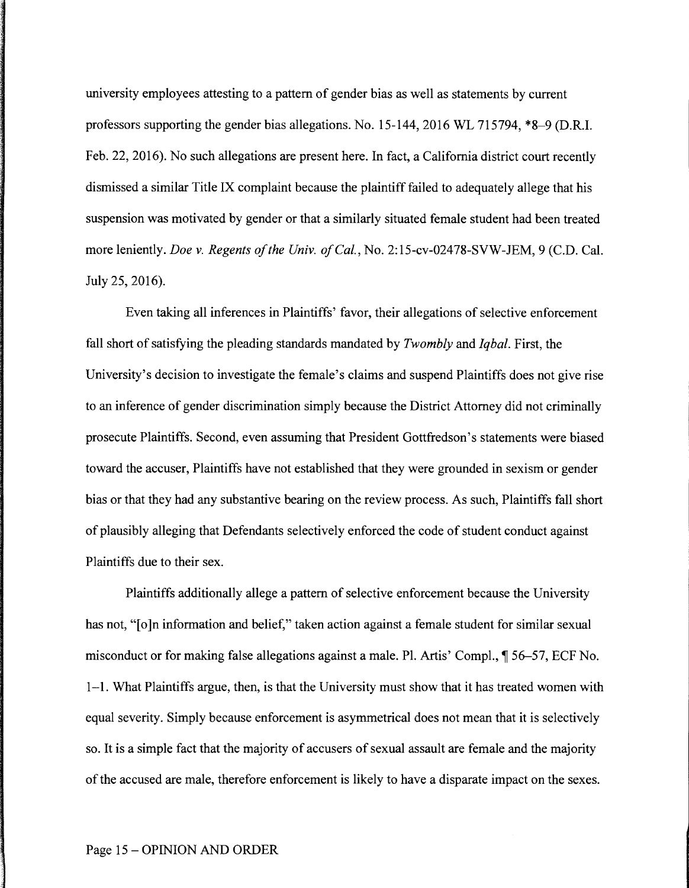university employees attesting to a pattern of gender bias as well as statements by current professors supporting the gender bias allegations. No. 15-144, 2016 WL 715794, \*8-9 (D.R.I. Feb. 22, 2016). No such allegations are present here. In fact, a California district court recently dismissed a similar Title IX complaint because the plaintiff failed to adequately allege that his suspension was motivated by gender or that a similarly situated female student had been treated more leniently. *Doe v. Regents of the Univ. of Cal.,* No. 2:15-cv-02478-SVW-JEM, 9 (C.D. Cal. July 25, 2016).

Even taking all inferences in Plaintiffs' favor, their allegations of selective enforcement fall short of satisfying the pleading standards mandated by *Twombly* and *Iqbal.* First, the University's decision to investigate the female's claims and suspend Plaintiffs does not give rise to an inference of gender discrimination simply because the District Attorney did not criminally prosecute Plaintiffs. Second, even assuming that President Gottfredson's statements were biased toward the accuser, Plaintiffs have not established that they were grounded in sexism or gender bias or that they had any substantive bearing on the review process. As such, Plaintiffs fall short of plausibly alleging that Defendants selectively enforced the code of student conduct against Plaintiffs due to their sex.

Plaintiffs additionally allege a pattern of selective enforcement because the University has not, "[o]n information and belief," taken action against a female student for similar sexual misconduct or for making false allegations against a male. Pl. Artis' Compl.,  $\sqrt{ }$  56–57, ECF No. 1-1. What Plaintiffs argue, then, is that the University must show that it has treated women with equal severity. Simply because enforcement is asymmetrical does not mean that it is selectively so. It is a simple fact that the majority of accusers of sexual assault are female and the majority of the accused are male, therefore enforcement is likely to have a disparate impact on the sexes.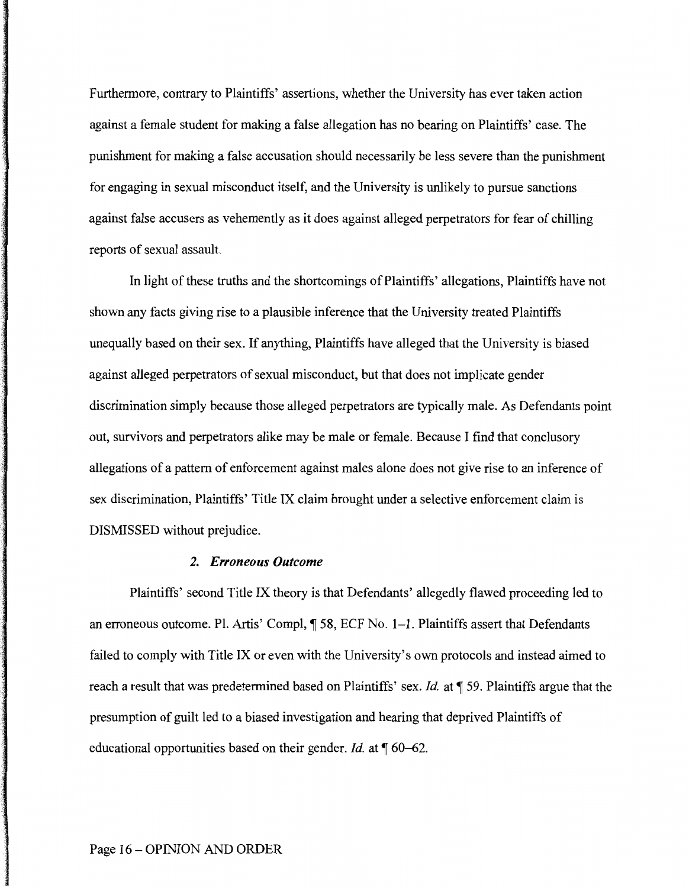Furthermore, contrary to Plaintiffs' assertions, whether the University has ever taken action against a female student for making a false allegation has no bearing on Plaintiffs' case. The punishment for making a false accusation should necessarily be less severe than the punishment for engaging in sexual misconduct itself, and the University is unlikely to pursue sanctions against false accusers as vehemently as it does against alleged perpetrators for fear of chilling reports of sexual assault.

In light of these truths and the shortcomings of Plaintiffs' allegations, Plaintiffs have not shown any facts giving rise to a plausible inference that the University treated Plaintiffs unequally based on their sex. If anything, Plaintiffs have alleged that the University is biased against alleged perpetrators of sexual misconduct, but that does not implicate gender discrimination simply because those alleged perpetrators are typically male. As Defendants point out, survivors and perpetrators alike may be male or female. Because I find that conclusory allegations of a pattern of enforcement against males alone does not give rise to an inference of sex discrimination, Plaintiffs' Title IX claim brought under a selective enforcement claim is DISMISSED without prejudice.

## *2. Erroneous Outcome*

Plaintiffs' second Title IX theory is that Defendants' allegedly flawed proceeding led to an erroneous outcome. Pl. Artis' Compl, ¶ 58, ECF No. 1-1. Plaintiffs assert that Defendants failed to comply with Title IX or even with the University's own protocols and instead aimed to reach a result that was predetermined based on Plaintiffs' sex. *Id.* at ¶ 59. Plaintiffs argue that the presumption of guilt led to a biased investigation and hearing that deprived Plaintiffs of educational opportunities based on their gender. *Id.* at  $\P$  60–62.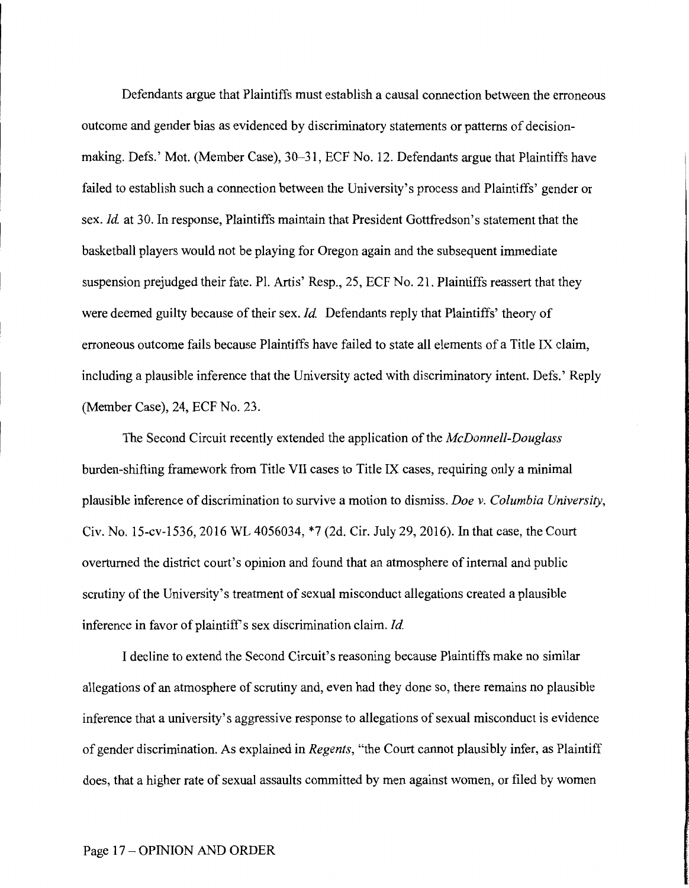Defendants argue that Plaintiffs must establish a causal connection between the erroneous outcome and gender bias as evidenced by discriminatory statements or patterns of decisionmaking. Defs.' Mot. (Member Case), 30-31, ECF No. 12. Defendants argue that Plaintiffs have failed to establish such a connection between the University's process and Plaintiffs' gender or sex. *Id* at 30. In response, Plaintiffs maintain that President Gottfredson's statement that the basketball players would not be playing for Oregon again and the subsequent immediate suspension prejudged their fate. Pl. Artis' Resp., 25, ECF No. 21. Plaintiffs reassert that they were deemed guilty because of their sex. *Id.* Defendants reply that Plaintiffs' theory of erroneous outcome fails because Plaintiffs have failed to state all elements of a Title IX claim, including a plausible inference that the University acted with discriminatory intent. Defs.' Reply (Member Case), 24, ECF No. 23.

The Second Circuit recently extended the application of the *McDonnell-Douglass*  burden-shifting framework from Title VII cases to Title IX cases, requiring only a minimal plausible inference of discrimination to survive a motion to dismiss. *Doe v. Columbia University,*  Civ. No. 15-cv-1536, 2016 WL 4056034, \*7 (2d. Cir. July 29, 2016). In that case, the Court overturned the district court's opinion and found that an atmosphere of internal and public scrutiny of the University's treatment of sexual misconduct allegations created a plausible inference in favor of plaintiff's sex discrimination claim. *Id.* 

I decline to extend the Second Circuit's reasoning because Plaintiffs make no similar allegations of an atmosphere of scrutiny and, even had they done so, there remains no plausible inference that a university's aggressive response to allegations of sexual misconduct is evidence of gender discrimination. As explained in *Regents,* "the Court cannot plausibly infer, as Plaintiff does, that a higher rate of sexual assaults committed by men against women, or filed by women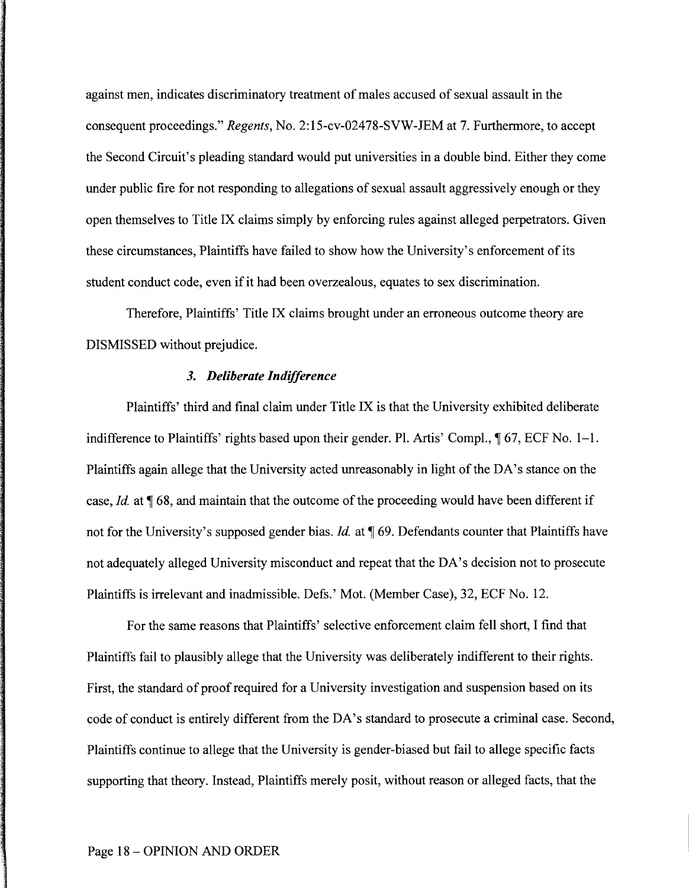against men, indicates discriminatory treatment of males accused of sexual assault in the consequent proceedings." *Regents,* No. 2:15-cv-02478-SVW-JEM at 7. Furthermore, to accept the Second Circuit's pleading standard would put universities in a double bind. Either they come under public fire for not responding to allegations of sexual assault aggressively enough or they open themselves to Title IX claims simply by enforcing rules against alleged perpetrators. Given these circumstances, Plaintiffs have failed to show how the University's enforcement of its student conduct code, even if it had been overzealous, equates to sex discrimination.

Therefore, Plaintiffs' Title IX claims brought under an erroneous outcome theory are DISMISSED without prejudice.

#### *3. Deliberate Indifference*

Plaintiffs' third and final claim under Title IX is that the University exhibited deliberate indifference to Plaintiffs' rights based upon their gender. Pl. Artis' Compl.,  $\sqrt{ }$  67, ECF No. 1–1. Plaintiffs again allege that the University acted unreasonably in light of the DA's stance on the case, *Id.* at  $\sqrt{68}$ , and maintain that the outcome of the proceeding would have been different if not for the University's supposed gender bias. *Id.* at  $\P$  69. Defendants counter that Plaintiffs have not adequately alleged University misconduct and repeat that the DA's decision not to prosecute Plaintiffs is irrelevant and inadmissible. Defs.' Mot. (Member Case), 32, ECF No. 12.

For the same reasons that Plaintiffs' selective enforcement claim fell short, I find that Plaintiffs fail to plausibly allege that the University was deliberately indifferent to their rights. First, the standard of proof required for a University investigation and suspension based on its code of conduct is entirely different from the DA's standard to prosecute a criminal case. Second, Plaintiffs continue to allege that the University is gender-biased but fail to allege specific facts supporting that theory. Instead, Plaintiffs merely posit, without reason or alleged facts, that the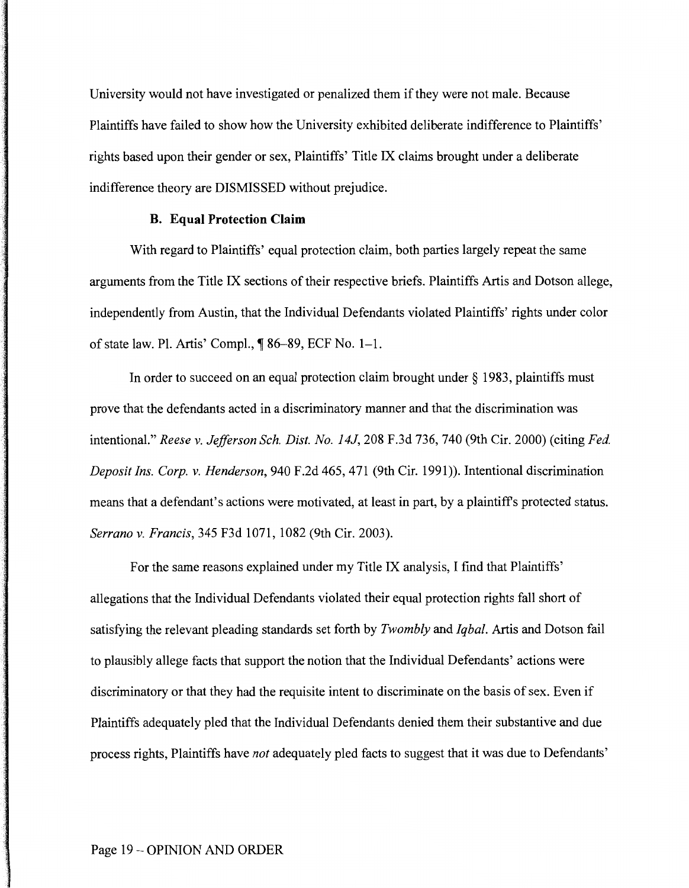University would not have investigated or penalized them if they were not male. Because Plaintiffs have failed to show how the University exhibited deliberate indifference to Plaintiffs' rights based upon their gender or sex, Plaintiffs' Title IX claims brought under a deliberate indifference theory are DISMISSED without prejudice.

# **B. Equal Protection Claim**

With regard to Plaintiffs' equal protection claim, both parties largely repeat the same arguments from the Title IX sections of their respective briefs. Plaintiffs Artis and Dotson allege, independently from Austin, that the Individual Defendants violated Plaintiffs' rights under color of state law. Pl. Artis' Compl.,  $\sqrt{\ }$  86–89, ECF No. 1–1.

In order to succeed on an equal protection claim brought under  $\S$  1983, plaintiffs must prove that the defendants acted in a discriminatory manner and that the discrimination was intentional." *Reese v. Jefferson Sch. Dist. No. 14J,* 208 F.3d 736, 740 (9th Cir. 2000) (citing *Fed. Deposit Ins. Corp. v. Henderson,* 940 F.2d 465, 471 (9th Cir. 1991)). Intentional discrimination means that a defendant's actions were motivated, at least in part, by a plaintiffs protected status. *Serrano v. Francis,* 345 F3d 1071, 1082 (9th Cir. 2003).

For the same reasons explained under my Title IX analysis, I find that Plaintiffs' allegations that the Individual Defendants violated their equal protection rights fall short of satisfying the relevant pleading standards set forth by *Twombly* and *Iqbal.* Artis and Dotson fail to plausibly allege facts that support the notion that the Individual Defendants' actions were discriminatory or that they had the requisite intent to discriminate on the basis of sex. Even if Plaintiffs adequately pled that the Individual Defendants denied them their substantive and due process rights, Plaintiffs have *not* adequately pled facts to suggest that it was due to Defendants'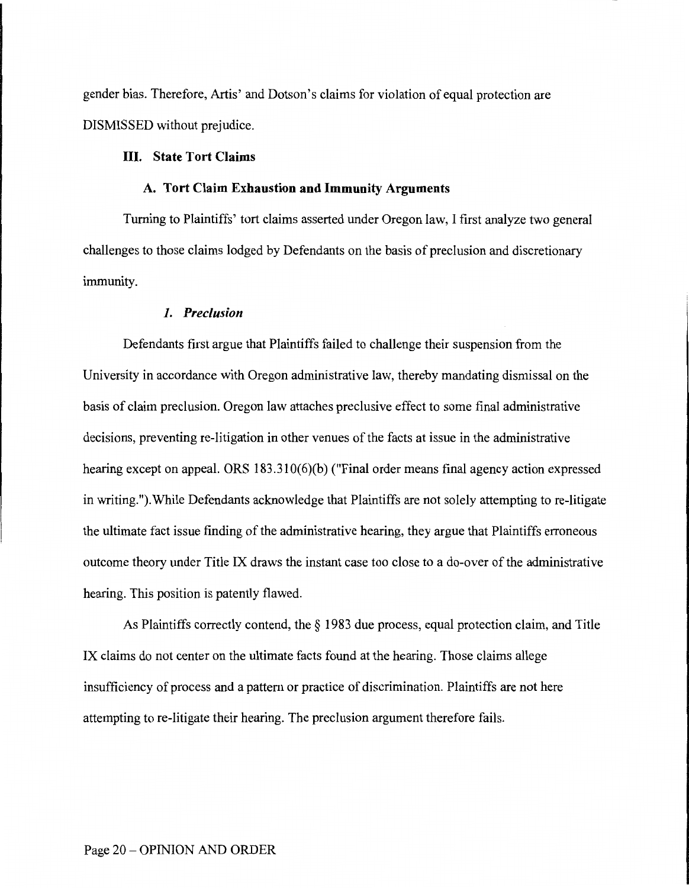gender bias. Therefore, Artis' and Dotson's claims for violation of equal protection are DISMISSED without prejudice.

# **III. State Tort Claims**

#### **A. Tort Claim Exhaustion and Immunity Arguments**

Turning to Plaintiffs' tort claims asserted under Oregon law, I first analyze two general challenges to those claims lodged by Defendants on the basis of preclusion and discretionary immunity.

### **1.** *Preclusion*

Defendants first argue that Plaintiffs failed to challenge their suspension from the University in accordance with Oregon administrative law, thereby mandating dismissal on the basis of claim preclusion. Oregon law attaches preclusive effect to some final administrative decisions, preventing re-litigation in other venues of the facts at issue in the administrative hearing except on appeal. ORS 183.310(6)(b) ("Final order means final agency action expressed in writing.").While Defendants acknowledge that Plaintiffs are not solely attempting to re-litigate the ultimate fact issue finding of the administrative hearing, they argue that Plaintiffs erroneous outcome theory under Title IX draws the instant case too close to a do-over of the administrative hearing. This position is patently flawed.

As Plaintiffs correctly contend, the *§* 1983 due process, equal protection claim, and Title IX claims do not center on the ultimate facts found at the hearing. Those claims allege insufficiency of process and a pattern or practice of discrimination. Plaintiffs are not here attempting to re-litigate their hearing. The preclusion argument therefore fails.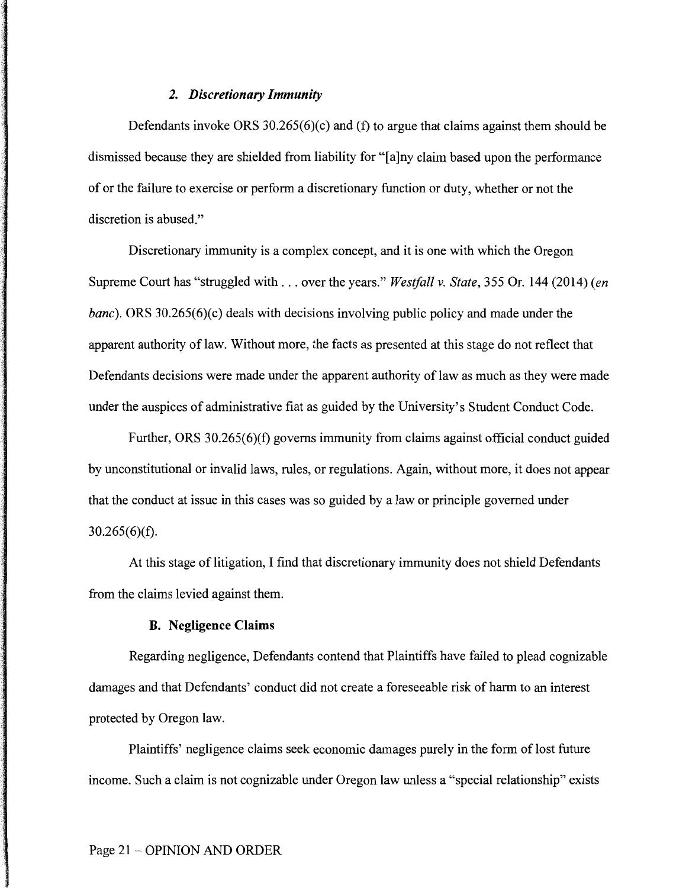# *2. Discretionary Immunity*

Defendants invoke ORS 30.265(6)(c) and (f) to argue that claims against them should be dismissed because they are shielded from liability for "[a ]ny claim based upon the performance of or the failure to exercise or perform a discretionary function or duty, whether or not the discretion is abused."

Discretionary immunity is a complex concept, and it is one with which the Oregon Supreme Court has "struggled with ... over the years." *Westfall v. State,* 355 Or. **144** (2014) *(en banc*). ORS 30.265(6)(c) deals with decisions involving public policy and made under the apparent authority of law. Without more, the facts as presented at this stage do not reflect that Defendants decisions were made under the apparent authority of law as much as they were made under the auspices of administrative fiat as guided by the University's Student Conduct Code.

Further, ORS 30.265(6)(f) governs immunity from claims against official conduct guided by unconstitutional or invalid laws, rules, or regulations. Again, without more, it does not appear that the conduct at issue in this cases was so guided by a law or principle governed under  $30.265(6)(f)$ .

At this stage of litigation, I find that discretionary immunity does not shield Defendants from the claims levied against them.

# **B. Negligence Claims**

Regarding negligence, Defendants contend that Plaintiffs have failed to plead cognizable damages and that Defendants' conduct did not create a foreseeable risk of harm to an interest protected by Oregon law.

Plaintiffs' negligence claims seek economic damages purely in the form of lost future income. Such a claim is not cognizable under Oregon law unless a "special relationship" exists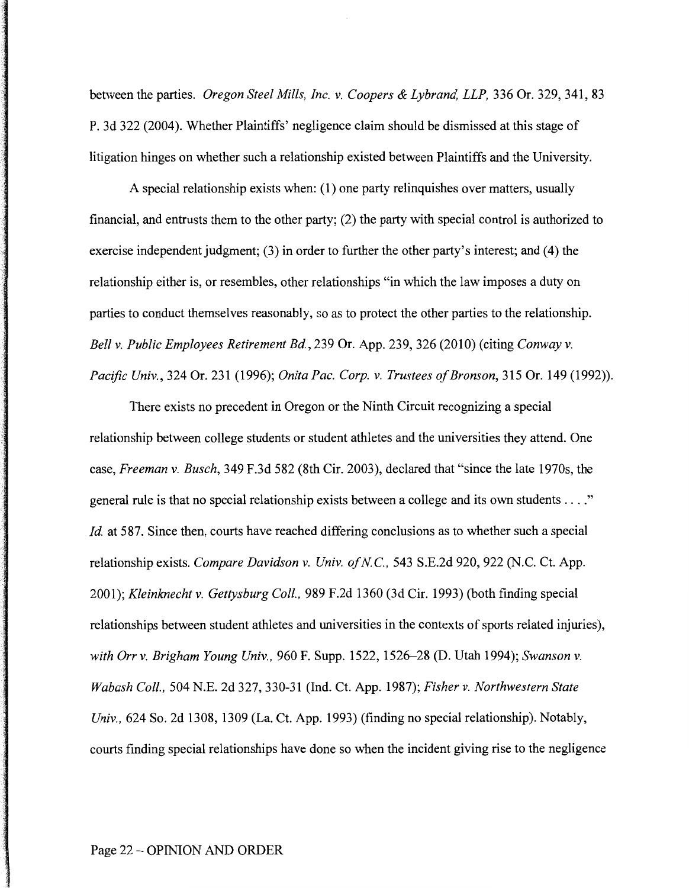between the parties. *Oregon Steel Mills, Inc. v. Coopers* & *Lybrand, LLP,* 336 Or. 329, 341, 83 P. 3d 322 (2004). Whether Plaintiffs' negligence claim should be dismissed at this stage of litigation hinges on whether such a relationship existed between Plaintiffs and the University.

A special relationship exists when: (1) one party relinquishes over matters, usually financial, and entrusts them to the other party; (2) the party with special control is authorized to exercise independent judgment; (3) in order to further the other party's interest; and (4) the relationship either is, or resembles, other relationships "in which the law imposes a duty on parties to conduct themselves reasonably, so as to protect the other parties to the relationship. *Bell v. Public Employees Retirement Bd.,* 239 Or. App. 239, 326 (2010) (citing *Conway v. Pacific Univ.,* 324 Or. 231 (1996); *Onita Pac. Corp. v. Trustees of Bronson,* 315 Or. 149 (1992)).

There exists no precedent in Oregon or the Ninth Circuit recognizing a special relationship between college students or student athletes and the universities they attend. One case, *Freeman v. Busch,* 349 F.3d 582 (8th Cir. 2003), declared that "since the late 1970s, the general rule is that no special relationship exists between a college and its own students .... " *Id.* at 587. Since then, courts have reached differing conclusions as to whether such a special relationship exists. *Compare Davidson v. Univ. of NC.,* 543 S.E.2d 920, 922 (N.C. Ct. App. 2001 ); *Kleinknecht v. Gettysburg Coll.,* 989 F .2d 1360 (3d Cir. 1993) (both finding special relationships between student athletes and universities in the contexts of sports related injuries), *with Orr v. Brigham Young Univ.,* 960 F. Supp. 1522, 1526-28 (D. Utah 1994); *Swanson v. Wabash Coll.,* 504 N.E. 2d 327, 330-31 (Ind. Ct. App. 1987); *Fisher v. Northwestern State Univ.,* 624 So. 2d 1308, 1309 (La. Ct. App. 1993) (finding no special relationship). Notably, courts finding special relationships have done so when the incident giving rise to the negligence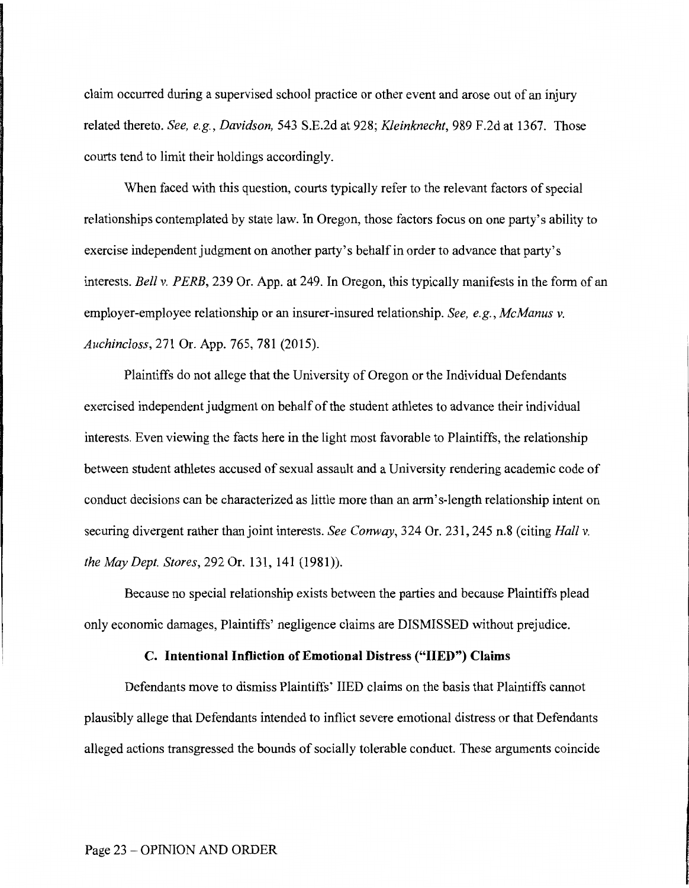claim occurred during a supervised school practice or other event and arose out of an injury related thereto. *See, e.g., Davidson,* 543 S.E.2d at 928; *Kleinknecht,* 989 F.2d at 1367. Those courts tend to limit their holdings accordingly.

When faced with this question, courts typically refer to the relevant factors of special relationships contemplated by state law. In Oregon, those factors focus on one party's ability to exercise independent judgment on another party's behalf in order to advance that party's interests. *Bell v. PERE,* 239 Or. App. at 249. In Oregon, this typically manifests in the form of an employer-employee relationship or an insurer-insured relationship. *See, e.g., McManus v. Auchincloss,* 271 Or. App. 765, 781 (2015).

Plaintiffs do not allege that the University of Oregon or the Individual Defendants exercised independent judgment on behalf of the student athletes to advance their individual interests. Even viewing the facts here in the light most favorable to Plaintiffs, the relationship between student athletes accused of sexual assault and a University rendering academic code of conduct decisions can be characterized as little more than an arm's-length relationship intent on securing divergent rather than joint interests. *See Conway,* 324 Or. 231, 245 n.8 (citing *Hall v. the May Dept. Stores,* 292 Or. 131, 141 (1981)).

Because no special relationship exists between the parties and because Plaintiffs plead only economic damages, Plaintiffs' negligence claims are DISMISSED without prejudice.

### **C. Intentional Infliction of Emotional Distress ("IIED") Claims**

Defendants move to dismiss Plaintiffs' IIED claims on the basis that Plaintiffs cannot plausibly allege that Defendants intended to inflict severe emotional distress or that Defendants alleged actions transgressed the bounds of socially tolerable conduct. These arguments coincide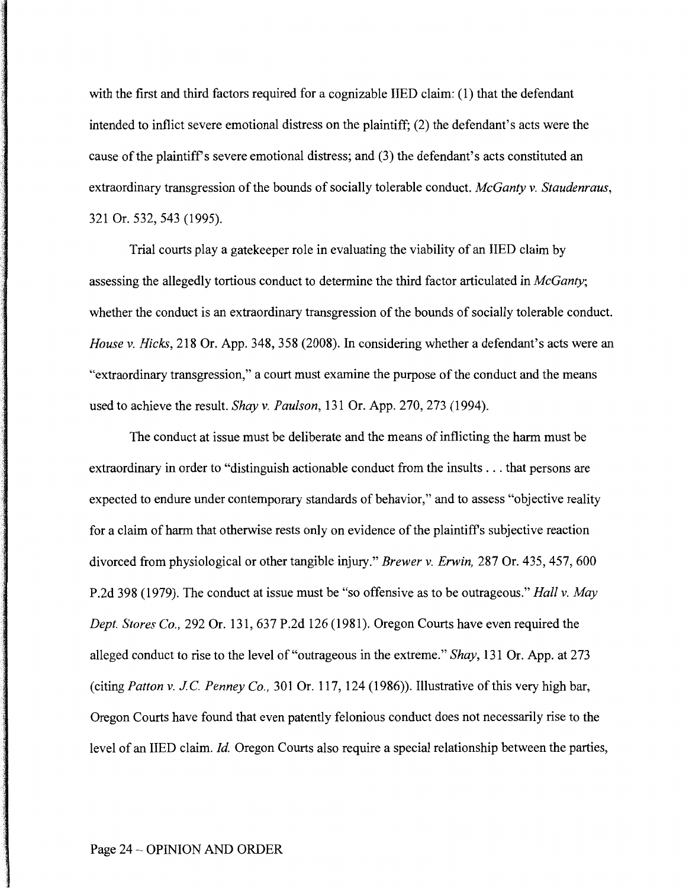with the first and third factors required for a cognizable IIED claim: (1) that the defendant intended to inflict severe emotional distress on the plaintiff; (2) the defendant's acts were the cause of the plaintiff's severe emotional distress; and (3) the defendant's acts constituted an extraordinary transgression of the bounds of socially tolerable conduct. *McGanty v. Staudenraus,*  321 Or. 532, 543 (1995).

Trial courts play a gatekeeper role in evaluating the viability of an IIED claim by assessing the allegedly tortious conduct to determine the third factor articulated in *McGanty;*  whether the conduct is an extraordinary transgression of the bounds of socially tolerable conduct. *House v. Hicks,* 218 Or. App. 348, 358 (2008). In considering whether a defendant's acts were an "extraordinary transgression," a court must examine the purpose of the conduct and the means used to achieve the result. *Shay v. Paulson,* 131 Or. App. 270, 273 (1994).

The conduct at issue must be deliberate and the means of inflicting the harm must be extraordinary in order to "distinguish actionable conduct from the insults ... that persons are expected to endure under contemporary standards of behavior," and to assess "objective reality for a claim of harm that otherwise rests only on evidence of the plaintiffs subjective reaction divorced from physiological or other tangible injury." *Brewer v. Erwin,* 287 Or. 435, 457, 600 P.2d 398 (1979). The conduct at issue must be "so offensive as to be outrageous." *Hall v. May Dept. Stores Co.,* 292 Or. 131, 637 P.2d 126 (1981). Oregon Courts have even required the alleged conduct to rise to the level of "outrageous in the extreme." *Shay,* 131 Or. App. at 273 (citing *Patton v. JC Penney Co.,* 301 Or. 117, 124 (1986)). Illustrative of this very high bar, Oregon Courts have found that even patently felonious conduct does not necessarily rise to the level of an IIED claim. *Id.* Oregon Courts also require a special relationship between the parties,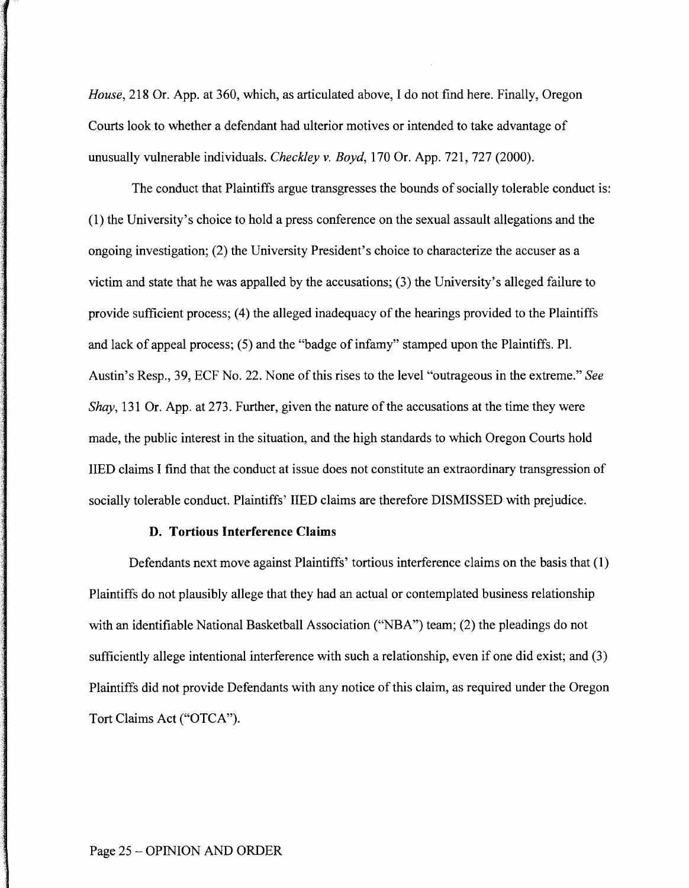*House,* 218 Or. App. at 360, which, as articulated above, I do not find here. Finally, Oregon Courts look to whether a defendant had ulterior motives or intended to take advantage of unusually vulnerable individuals. *Checkley v. Boyd,* 170 Or. App. 721, 727 (2000).

The conduct that Plaintiffs argue transgresses the bounds of socially tolerable conduct is: (1) the University's choice to hold a press conference on the sexual assault allegations and the ongoing investigation; (2) the University President's choice to characterize the accuser as a victim and state that he was appalled by the accusations; (3) the University's alleged failure to provide sufficient process; (4) the alleged inadequacy of the hearings provided to the Plaintiffs and lack of appeal process; (5) and the "badge of infamy" stamped upon the Plaintiffs. Pl. Austin's Resp., 39, ECF No. 22. None of this rises to the level "outrageous in the extreme." *See Shay,* 131 Or. App. at 273. Further, given the nature of the accusations at the time they were made, the public interest in the situation, and the high standards to which Oregon Courts hold IIED claims I find that the conduct at issue does not constitute an extraordinary transgression of socially tolerable conduct. Plaintiffs' IIED claims are therefore DISMISSED with prejudice.

# **D. Tortious Interference Claims**

Defendants next move against Plaintiffs' tortious interference claims on the basis that ( 1) Plaintiffs do not plausibly allege that they had an actual or contemplated business relationship with an identifiable National Basketball Association ("NBA") team; (2) the pleadings do not sufficiently allege intentional interference with such a relationship, even if one did exist; and (3) Plaintiffs did not provide Defendants with any notice of this claim, as required under the Oregon Tort Claims Act ("OTCA").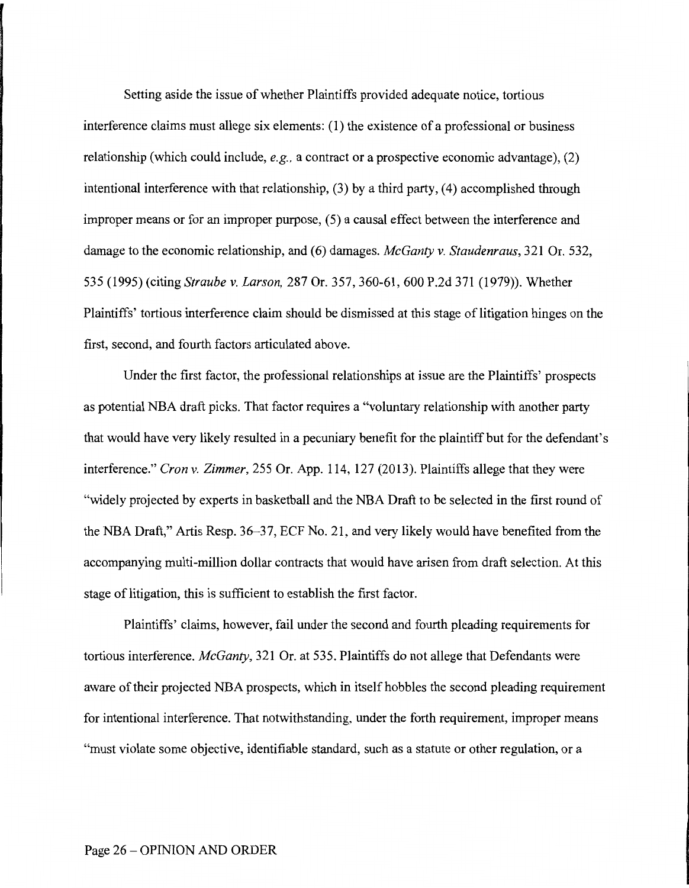Setting aside the issue of whether Plaintiffs provided adequate notice, tortious interference claims must allege six elements: (I) the existence of a professional or business relationship (which could include, *e.g.,* a contract or a prospective economic advantage), (2) intentional interference with that relationship, (3) by a third party, (4) accomplished through improper means or for an improper purpose, (5) a causal effect between the interference and damage to the economic relationship, and (6) damages. *McGanty v. Staudenraus,* 321 Or. 532, 535 (1995) (citing *Straube v. Larson,* 287 Or. 357, 360-61, 600 P.2d 371 (1979)). Whether Plaintiffs' tortious interference claim should be dismissed at this stage of litigation hinges on the first, second, and fourth factors articulated above.

Under the first factor, the professional relationships at issue are the Plaintiffs' prospects as potential NBA draft picks. That factor requires a "voluntary relationship with another party that would have very likely resulted in a pecuniary benefit for the plaintiff but for the defendant's interference." *Cron v. Zimmer,* 255 Or. App. 114, 127 (2013). Plaintiffs allege that they were "widely projected by experts in basketball and the NBA Draft to be selected in the first round of the NBA Draft," Artis Resp. 36-37, ECF No. 21, and very likely would have benefited from the accompanying multi-million dollar contracts that would have arisen from draft selection. At this stage of litigation, this is sufficient to establish the first factor.

Plaintiffs' claims, however, fail under the second and fourth pleading requirements for tortious interference. *McGanty,* 321 Or. at 535. Plaintiffs do not allege that Defendants were aware of their projected NBA prospects, which in itself hobbles the second pleading requirement for intentional interference. That notwithstanding, under the forth requirement, improper means "must violate some objective, identifiable standard, such as a statute or other regulation, or a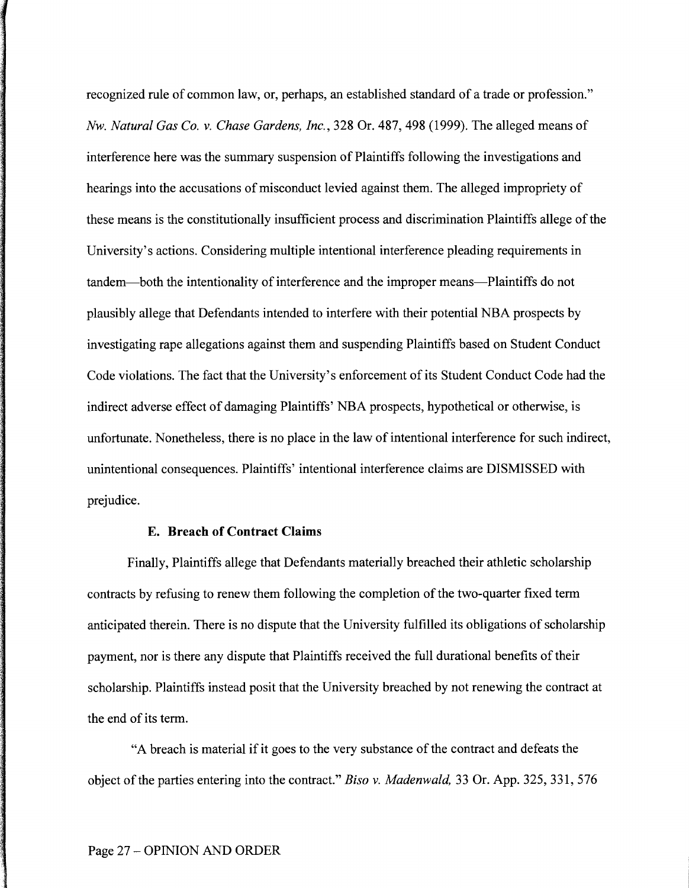recognized rule of common law, or, perhaps, an established standard of a trade or profession." *Nw. Natural Gas Co. v. Chase Gardens, Inc.,* 328 Or. 487, 498 (1999). The alleged means of interference here was the summary suspension of Plaintiffs following the investigations and hearings into the accusations of misconduct levied against them. The alleged impropriety of these means is the constitutionally insufficient process and discrimination Plaintiffs allege of the University's actions. Considering multiple intentional interference pleading requirements in tandem-both the intentionality of interference and the improper means-Plaintiffs do not plausibly allege that Defendants intended to interfere with their potential NBA prospects by investigating rape allegations against them and suspending Plaintiffs based on Student Conduct Code violations. The fact that the University's enforcement of its Student Conduct Code had the indirect adverse effect of damaging Plaintiffs' NBA prospects, hypothetical or otherwise, is unfortunate. Nonetheless, there is no place in the law of intentional interference for such indirect, unintentional consequences. Plaintiffs' intentional interference claims are DISMISSED with prejudice.

# **E. Breach of Contract Claims**

Finally, Plaintiffs allege that Defendants materially breached their athletic scholarship contracts by refusing to renew them following the completion of the two-quarter fixed term anticipated therein. There is no dispute that the University fulfilled its obligations of scholarship payment, nor is there any dispute that Plaintiffs received the full durational benefits of their scholarship. Plaintiffs instead posit that the University breached by not renewing the contract at the end of its term.

"A breach is material if it goes to the very substance of the contract and defeats the object of the parties entering into the contract." *Biso v. Madenwald,* 33 Or. App. 325, 331, 576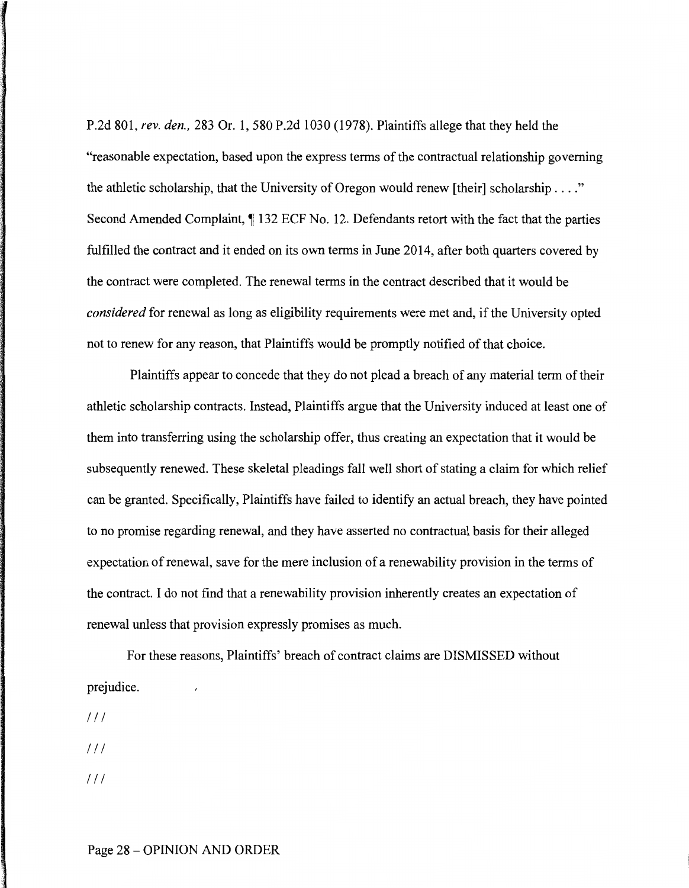P.2d 801, *rev. den.,* 283 Or. 1, 580 P.2d 1030 (1978). Plaintiffs allege that they held the "reasonable expectation, based upon the express terms of the contractual relationship governing the athletic scholarship, that the University of Oregon would renew [their] scholarship .... " Second Amended Complaint,  $\P$  132 ECF No. 12. Defendants retort with the fact that the parties fulfilled the contract and it ended on its own terms in June 2014, after both quarters covered by the contract were completed. The renewal terms in the contract described that it would be *considered* for renewal as long as eligibility requirements were met and, if the University opted not to renew for any reason, that Plaintiffs would be promptly notified of that choice.

Plaintiffs appear to concede that they do not plead a breach of any material term of their athletic scholarship contracts. Instead, Plaintiffs argue that the University induced at least one of them into transferring using the scholarship offer, thus creating an expectation that it would be subsequently renewed. These skeletal pleadings fall well short of stating a claim for which relief can be granted. Specifically, Plaintiffs have failed to identify an actual breach, they have pointed to no promise regarding renewal, and they have asserted no contractual basis for their alleged expectation of renewal, save for the mere inclusion of a renewability provision in the terms of the contract. I do not find that a renewability provision inherently creates an expectation of renewal unless that provision expressly promises as much.

For these reasons, Plaintiffs' breach of contract claims are DISMISSED without prejudice.

 $111$  $111$ 

 $111$